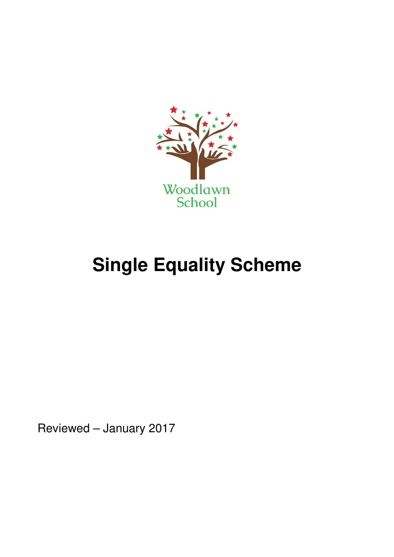

# **Single Equality Scheme**

Reviewed – January 2017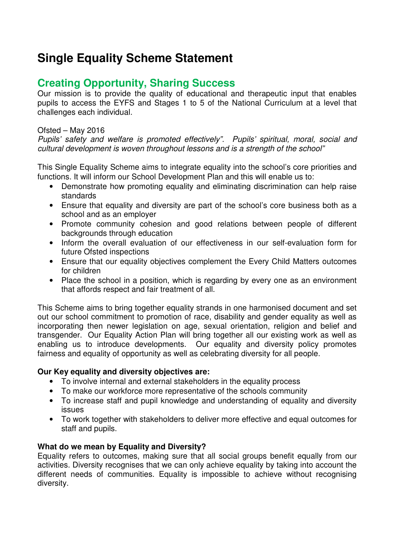## **Single Equality Scheme Statement**

### **Creating Opportunity, Sharing Success**

Our mission is to provide the quality of educational and therapeutic input that enables pupils to access the EYFS and Stages 1 to 5 of the National Curriculum at a level that challenges each individual.

#### Ofsted – May 2016

Pupils' safety and welfare is promoted effectively". Pupils' spiritual, moral, social and cultural development is woven throughout lessons and is a strength of the school"

This Single Equality Scheme aims to integrate equality into the school's core priorities and functions. It will inform our School Development Plan and this will enable us to:

- Demonstrate how promoting equality and eliminating discrimination can help raise standards
- Ensure that equality and diversity are part of the school's core business both as a school and as an employer
- Promote community cohesion and good relations between people of different backgrounds through education
- Inform the overall evaluation of our effectiveness in our self-evaluation form for future Ofsted inspections
- Ensure that our equality objectives complement the Every Child Matters outcomes for children
- Place the school in a position, which is regarding by every one as an environment that affords respect and fair treatment of all.

This Scheme aims to bring together equality strands in one harmonised document and set out our school commitment to promotion of race, disability and gender equality as well as incorporating then newer legislation on age, sexual orientation, religion and belief and transgender. Our Equality Action Plan will bring together all our existing work as well as enabling us to introduce developments. Our equality and diversity policy promotes fairness and equality of opportunity as well as celebrating diversity for all people.

#### **Our Key equality and diversity objectives are:**

- To involve internal and external stakeholders in the equality process
- To make our workforce more representative of the schools community
- To increase staff and pupil knowledge and understanding of equality and diversity issues
- To work together with stakeholders to deliver more effective and equal outcomes for staff and pupils.

#### **What do we mean by Equality and Diversity?**

Equality refers to outcomes, making sure that all social groups benefit equally from our activities. Diversity recognises that we can only achieve equality by taking into account the different needs of communities. Equality is impossible to achieve without recognising diversity.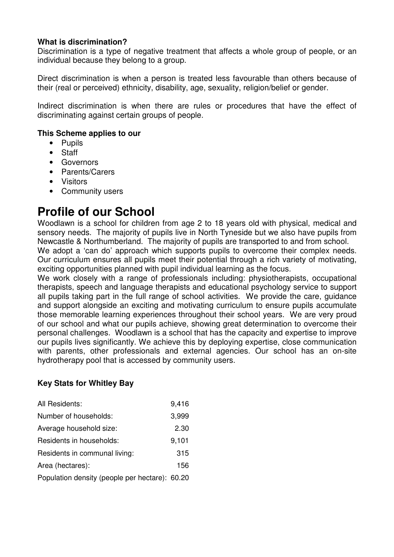#### **What is discrimination?**

Discrimination is a type of negative treatment that affects a whole group of people, or an individual because they belong to a group.

Direct discrimination is when a person is treated less favourable than others because of their (real or perceived) ethnicity, disability, age, sexuality, religion/belief or gender.

Indirect discrimination is when there are rules or procedures that have the effect of discriminating against certain groups of people.

#### **This Scheme applies to our**

- Pupils
- Staff
- Governors
- Parents/Carers
- Visitors
- Community users

### **Profile of our School**

Woodlawn is a school for children from age 2 to 18 years old with physical, medical and sensory needs. The majority of pupils live in North Tyneside but we also have pupils from Newcastle & Northumberland. The majority of pupils are transported to and from school.

We adopt a 'can do' approach which supports pupils to overcome their complex needs. Our curriculum ensures all pupils meet their potential through a rich variety of motivating, exciting opportunities planned with pupil individual learning as the focus.

We work closely with a range of professionals including: physiotherapists, occupational therapists, speech and language therapists and educational psychology service to support all pupils taking part in the full range of school activities. We provide the care, guidance and support alongside an exciting and motivating curriculum to ensure pupils accumulate those memorable learning experiences throughout their school years. We are very proud of our school and what our pupils achieve, showing great determination to overcome their personal challenges. Woodlawn is a school that has the capacity and expertise to improve our pupils lives significantly. We achieve this by deploying expertise, close communication with parents, other professionals and external agencies. Our school has an on-site hydrotherapy pool that is accessed by community users.

#### **Key Stats for Whitley Bay**

| All Residents:                                 | 9,416 |
|------------------------------------------------|-------|
| Number of households:                          | 3,999 |
| Average household size:                        | 2.30  |
| Residents in households:                       | 9,101 |
| Residents in communal living:                  | 315   |
| Area (hectares):                               | 156   |
| Population density (people per hectare): 60.20 |       |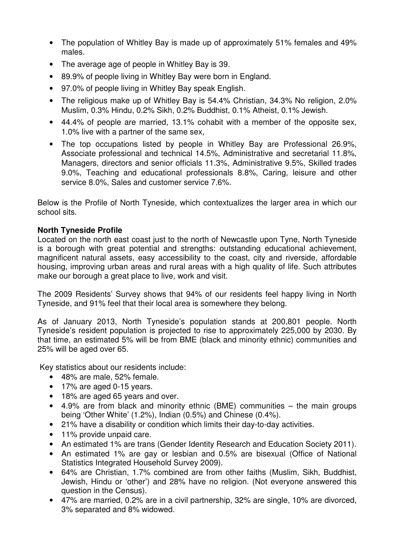- The population of Whitley Bay is made up of approximately 51% females and 49% males.
- The average age of people in Whitley Bay is 39.
- 89.9% of people living in Whitley Bay were born in England.
- 97.0% of people living in Whitley Bay speak English.
- The religious make up of Whitley Bay is 54.4% Christian, 34.3% No religion, 2.0% Muslim, 0.3% Hindu, 0.2% Sikh, 0.2% Buddhist, 0.1% Atheist, 0.1% Jewish.
- 44.4% of people are married, 13.1% cohabit with a member of the opposite sex, 1.0% live with a partner of the same sex,
- The top occupations listed by people in Whitley Bay are Professional 26.9%, Associate professional and technical 14.5%, Administrative and secretarial 11.8%, Managers, directors and senior officials 11.3%, Administrative 9.5%, Skilled trades 9.0%, Teaching and educational professionals 8.8%, Caring, leisure and other service 8.0%, Sales and customer service 7.6%.

Below is the Profile of North Tyneside, which contextualizes the larger area in which our school sits.

#### **North Tyneside Profile**

Located on the north east coast just to the north of Newcastle upon Tyne, North Tyneside is a borough with great potential and strengths: outstanding educational achievement, magnificent natural assets, easy accessibility to the coast, city and riverside, affordable housing, improving urban areas and rural areas with a high quality of life. Such attributes make our borough a great place to live, work and visit.

The 2009 Residents' Survey shows that 94% of our residents feel happy living in North Tyneside, and 91% feel that their local area is somewhere they belong.

As of January 2013, North Tyneside's population stands at 200,801 people. North Tyneside's resident population is projected to rise to approximately 225,000 by 2030. By that time, an estimated 5% will be from BME (black and minority ethnic) communities and 25% will be aged over 65.

Key statistics about our residents include:

- 48% are male, 52% female.
- 17% are aged 0-15 years.
- 18% are aged 65 years and over.
- 4.9% are from black and minority ethnic (BME) communities the main groups being 'Other White' (1.2%), Indian (0.5%) and Chinese (0.4%).
- 21% have a disability or condition which limits their day-to-day activities.
- 11% provide unpaid care.
- An estimated 1% are trans (Gender Identity Research and Education Society 2011).
- An estimated 1% are gay or lesbian and 0.5% are bisexual (Office of National Statistics Integrated Household Survey 2009).
- 64% are Christian, 1.7% combined are from other faiths (Muslim, Sikh, Buddhist, Jewish, Hindu or 'other') and 28% have no religion. (Not everyone answered this question in the Census).
- 47% are married, 0.2% are in a civil partnership, 32% are single, 10% are divorced, 3% separated and 8% widowed.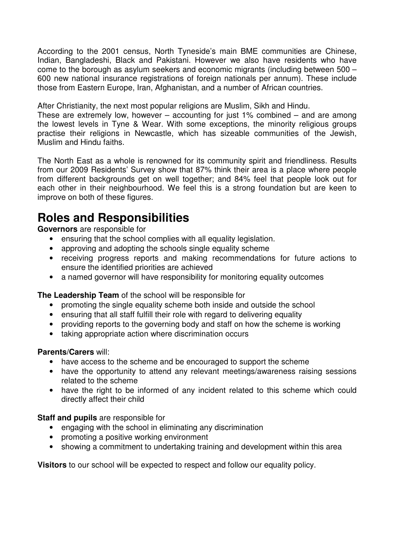According to the 2001 census, North Tyneside's main BME communities are Chinese, Indian, Bangladeshi, Black and Pakistani. However we also have residents who have come to the borough as asylum seekers and economic migrants (including between 500 – 600 new national insurance registrations of foreign nationals per annum). These include those from Eastern Europe, Iran, Afghanistan, and a number of African countries.

After Christianity, the next most popular religions are Muslim, Sikh and Hindu.

These are extremely low, however – accounting for just 1% combined – and are among the lowest levels in Tyne & Wear. With some exceptions, the minority religious groups practise their religions in Newcastle, which has sizeable communities of the Jewish, Muslim and Hindu faiths.

The North East as a whole is renowned for its community spirit and friendliness. Results from our 2009 Residents' Survey show that 87% think their area is a place where people from different backgrounds get on well together; and 84% feel that people look out for each other in their neighbourhood. We feel this is a strong foundation but are keen to improve on both of these figures.

## **Roles and Responsibilities**

**Governors** are responsible for

- ensuring that the school complies with all equality legislation.
- 
- approving and adopting the schools single equality scheme<br>• receiving progress reports and making recommendation • receiving progress reports and making recommendations for future actions to ensure the identified priorities are achieved
- a named governor will have responsibility for monitoring equality outcomes

**The Leadership Team** of the school will be responsible for

- promoting the single equality scheme both inside and outside the school
- ensuring that all staff fulfill their role with regard to delivering equality
- providing reports to the governing body and staff on how the scheme is working
- taking appropriate action where discrimination occurs

#### **Parents/Carers** will:

- have access to the scheme and be encouraged to support the scheme
- have the opportunity to attend any relevant meetings/awareness raising sessions related to the scheme
- have the right to be informed of any incident related to this scheme which could directly affect their child

#### **Staff and pupils** are responsible for

- engaging with the school in eliminating any discrimination
- promoting a positive working environment
- showing a commitment to undertaking training and development within this area

**Visitors** to our school will be expected to respect and follow our equality policy.